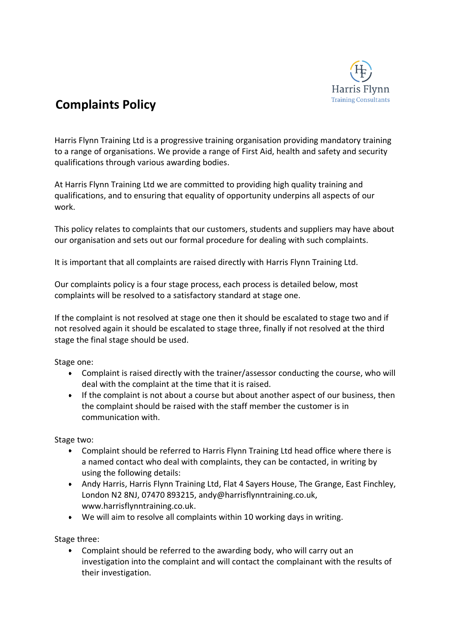

# **Complaints Policy**

Harris Flynn Training Ltd is a progressive training organisation providing mandatory training to a range of organisations. We provide a range of First Aid, health and safety and security qualifications through various awarding bodies.

At Harris Flynn Training Ltd we are committed to providing high quality training and qualifications, and to ensuring that equality of opportunity underpins all aspects of our work.

This policy relates to complaints that our customers, students and suppliers may have about our organisation and sets out our formal procedure for dealing with such complaints.

It is important that all complaints are raised directly with Harris Flynn Training Ltd.

Our complaints policy is a four stage process, each process is detailed below, most complaints will be resolved to a satisfactory standard at stage one.

If the complaint is not resolved at stage one then it should be escalated to stage two and if not resolved again it should be escalated to stage three, finally if not resolved at the third stage the final stage should be used.

Stage one:

- Complaint is raised directly with the trainer/assessor conducting the course, who will deal with the complaint at the time that it is raised.
- If the complaint is not about a course but about another aspect of our business, then the complaint should be raised with the staff member the customer is in communication with.

Stage two:

- Complaint should be referred to Harris Flynn Training Ltd head office where there is a named contact who deal with complaints, they can be contacted, in writing by using the following details:
- Andy Harris, Harris Flynn Training Ltd, Flat 4 Sayers House, The Grange, East Finchley, London N2 8NJ, 07470 893215, andy@harrisflynntraining.co.uk, www.harrisflynntraining.co.uk.
- We will aim to resolve all complaints within 10 working days in writing.

Stage three:

Complaint should be referred to the awarding body, who will carry out an investigation into the complaint and will contact the complainant with the results of their investigation.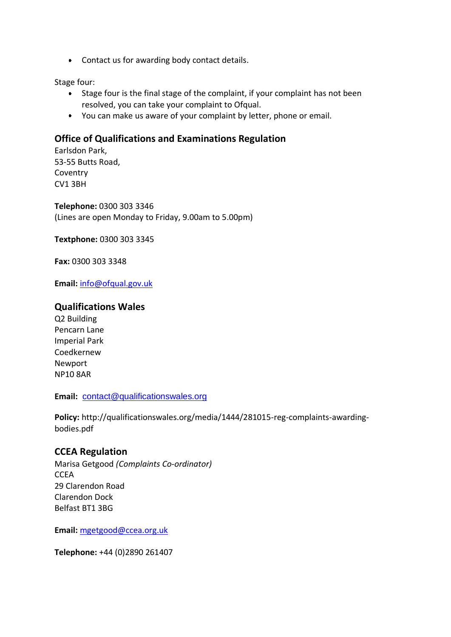Contact us for awarding body contact details.

Stage four:

- Stage four is the final stage of the complaint, if your complaint has not been resolved, you can take your complaint to Ofqual.
- You can make us aware of your complaint by letter, phone or email.

## **Office of Qualifications and Examinations Regulation**

Earlsdon Park, 53-55 Butts Road, **Coventry** CV1 3BH

**Telephone:** 0300 303 3346 (Lines are open Monday to Friday, 9.00am to 5.00pm)

**Textphone:** 0300 303 3345

**Fax:** 0300 303 3348

**Email:** [info@ofqual.gov.uk](mailto:info@ofqual.gov.uk)

## **Qualifications Wales**

Q2 Building Pencarn Lane Imperial Park Coedkernew Newport NP10 8AR

**Email:** [contact@qualificationswales.org](mailto:contact@qualificationswales.org)

**Policy:** http://qualificationswales.org/media/1444/281015-reg-complaints-awardingbodies.pdf

## **CCEA Regulation**

Marisa Getgood *(Complaints Co-ordinator)* **CCEA** 29 Clarendon Road Clarendon Dock Belfast BT1 3BG

**Email:** [mgetgood@ccea.org.uk](mailto:mgetgood@ccea.org.uk?subject=Complaint%20Notification)

**Telephone:** +44 (0)2890 261407